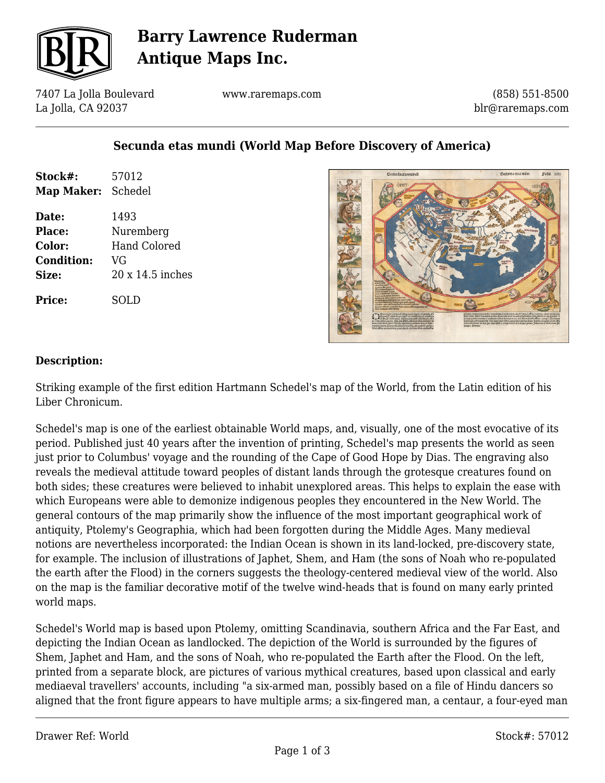

# **Barry Lawrence Ruderman Antique Maps Inc.**

7407 La Jolla Boulevard La Jolla, CA 92037

www.raremaps.com

(858) 551-8500 blr@raremaps.com

### **Secunda etas mundi (World Map Before Discovery of America)**

| Stock#:<br><b>Map Maker:</b> | 57012<br>Schedel  |
|------------------------------|-------------------|
| Date:<br>Place:              | 1493<br>Nuremberg |
| Color:                       | Hand Colored      |
| <b>Condition:</b>            | VG                |
| Size:                        | 20 x 14.5 inches  |
| Price:                       | SOLD              |



#### **Description:**

Striking example of the first edition Hartmann Schedel's map of the World, from the Latin edition of his Liber Chronicum.

Schedel's map is one of the earliest obtainable World maps, and, visually, one of the most evocative of its period. Published just 40 years after the invention of printing, Schedel's map presents the world as seen just prior to Columbus' voyage and the rounding of the Cape of Good Hope by Dias. The engraving also reveals the medieval attitude toward peoples of distant lands through the grotesque creatures found on both sides; these creatures were believed to inhabit unexplored areas. This helps to explain the ease with which Europeans were able to demonize indigenous peoples they encountered in the New World. The general contours of the map primarily show the influence of the most important geographical work of antiquity, Ptolemy's Geographia, which had been forgotten during the Middle Ages. Many medieval notions are nevertheless incorporated: the Indian Ocean is shown in its land-locked, pre-discovery state, for example. The inclusion of illustrations of Japhet, Shem, and Ham (the sons of Noah who re-populated the earth after the Flood) in the corners suggests the theology-centered medieval view of the world. Also on the map is the familiar decorative motif of the twelve wind-heads that is found on many early printed world maps.

Schedel's World map is based upon Ptolemy, omitting Scandinavia, southern Africa and the Far East, and depicting the Indian Ocean as landlocked. The depiction of the World is surrounded by the figures of Shem, Japhet and Ham, and the sons of Noah, who re-populated the Earth after the Flood. On the left, printed from a separate block, are pictures of various mythical creatures, based upon classical and early mediaeval travellers' accounts, including "a six-armed man, possibly based on a file of Hindu dancers so aligned that the front figure appears to have multiple arms; a six-fingered man, a centaur, a four-eyed man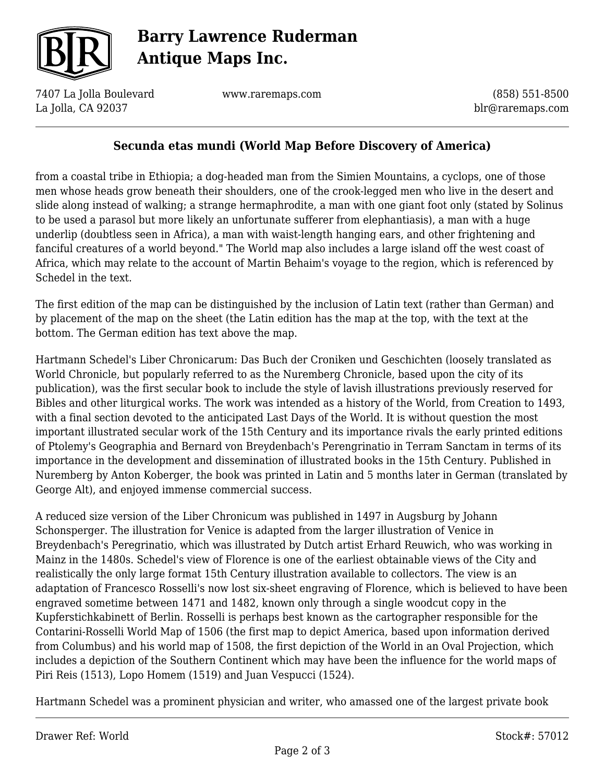

# **Barry Lawrence Ruderman Antique Maps Inc.**

7407 La Jolla Boulevard La Jolla, CA 92037

www.raremaps.com

(858) 551-8500 blr@raremaps.com

### **Secunda etas mundi (World Map Before Discovery of America)**

from a coastal tribe in Ethiopia; a dog-headed man from the Simien Mountains, a cyclops, one of those men whose heads grow beneath their shoulders, one of the crook-legged men who live in the desert and slide along instead of walking; a strange hermaphrodite, a man with one giant foot only (stated by Solinus to be used a parasol but more likely an unfortunate sufferer from elephantiasis), a man with a huge underlip (doubtless seen in Africa), a man with waist-length hanging ears, and other frightening and fanciful creatures of a world beyond." The World map also includes a large island off the west coast of Africa, which may relate to the account of Martin Behaim's voyage to the region, which is referenced by Schedel in the text.

The first edition of the map can be distinguished by the inclusion of Latin text (rather than German) and by placement of the map on the sheet (the Latin edition has the map at the top, with the text at the bottom. The German edition has text above the map.

Hartmann Schedel's Liber Chronicarum: Das Buch der Croniken und Geschichten (loosely translated as World Chronicle, but popularly referred to as the Nuremberg Chronicle, based upon the city of its publication), was the first secular book to include the style of lavish illustrations previously reserved for Bibles and other liturgical works. The work was intended as a history of the World, from Creation to 1493, with a final section devoted to the anticipated Last Days of the World. It is without question the most important illustrated secular work of the 15th Century and its importance rivals the early printed editions of Ptolemy's Geographia and Bernard von Breydenbach's Perengrinatio in Terram Sanctam in terms of its importance in the development and dissemination of illustrated books in the 15th Century. Published in Nuremberg by Anton Koberger, the book was printed in Latin and 5 months later in German (translated by George Alt), and enjoyed immense commercial success.

A reduced size version of the Liber Chronicum was published in 1497 in Augsburg by Johann Schonsperger. The illustration for Venice is adapted from the larger illustration of Venice in Breydenbach's Peregrinatio, which was illustrated by Dutch artist Erhard Reuwich, who was working in Mainz in the 1480s. Schedel's view of Florence is one of the earliest obtainable views of the City and realistically the only large format 15th Century illustration available to collectors. The view is an adaptation of Francesco Rosselli's now lost six-sheet engraving of Florence, which is believed to have been engraved sometime between 1471 and 1482, known only through a single woodcut copy in the Kupferstichkabinett of Berlin. Rosselli is perhaps best known as the cartographer responsible for the Contarini-Rosselli World Map of 1506 (the first map to depict America, based upon information derived from Columbus) and his world map of 1508, the first depiction of the World in an Oval Projection, which includes a depiction of the Southern Continent which may have been the influence for the world maps of Piri Reis (1513), Lopo Homem (1519) and Juan Vespucci (1524).

Hartmann Schedel was a prominent physician and writer, who amassed one of the largest private book